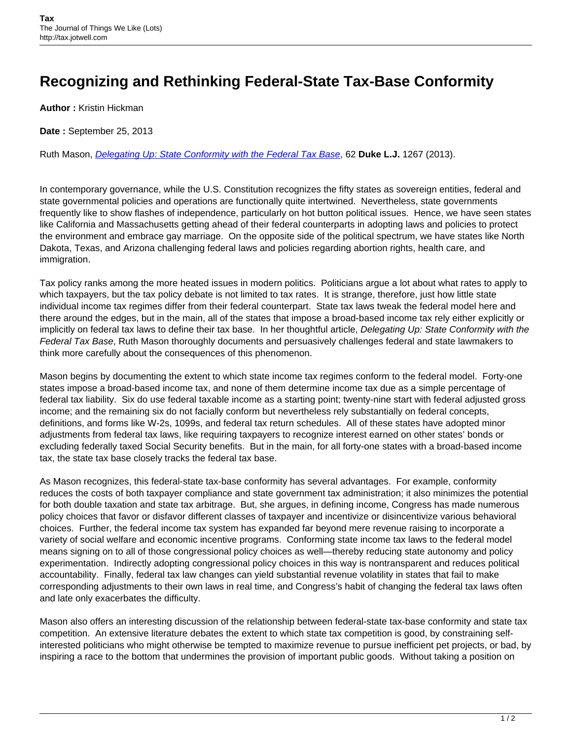## **Recognizing and Rethinking Federal-State Tax-Base Conformity**

**Author :** Kristin Hickman

**Date :** September 25, 2013

Ruth Mason, [Delegating Up: State Conformity with the Federal Tax Base](http://scholarship.law.duke.edu/cgi/viewcontent.cgi?article=3382&context=dlj), 62 **Duke L.J.** 1267 (2013).

In contemporary governance, while the U.S. Constitution recognizes the fifty states as sovereign entities, federal and state governmental policies and operations are functionally quite intertwined. Nevertheless, state governments frequently like to show flashes of independence, particularly on hot button political issues. Hence, we have seen states like California and Massachusetts getting ahead of their federal counterparts in adopting laws and policies to protect the environment and embrace gay marriage. On the opposite side of the political spectrum, we have states like North Dakota, Texas, and Arizona challenging federal laws and policies regarding abortion rights, health care, and immigration.

Tax policy ranks among the more heated issues in modern politics. Politicians argue a lot about what rates to apply to which taxpayers, but the tax policy debate is not limited to tax rates. It is strange, therefore, just how little state individual income tax regimes differ from their federal counterpart. State tax laws tweak the federal model here and there around the edges, but in the main, all of the states that impose a broad-based income tax rely either explicitly or implicitly on federal tax laws to define their tax base. In her thoughtful article, Delegating Up: State Conformity with the Federal Tax Base, Ruth Mason thoroughly documents and persuasively challenges federal and state lawmakers to think more carefully about the consequences of this phenomenon.

Mason begins by documenting the extent to which state income tax regimes conform to the federal model. Forty-one states impose a broad-based income tax, and none of them determine income tax due as a simple percentage of federal tax liability. Six do use federal taxable income as a starting point; twenty-nine start with federal adjusted gross income; and the remaining six do not facially conform but nevertheless rely substantially on federal concepts, definitions, and forms like W-2s, 1099s, and federal tax return schedules. All of these states have adopted minor adjustments from federal tax laws, like requiring taxpayers to recognize interest earned on other states' bonds or excluding federally taxed Social Security benefits. But in the main, for all forty-one states with a broad-based income tax, the state tax base closely tracks the federal tax base.

As Mason recognizes, this federal-state tax-base conformity has several advantages. For example, conformity reduces the costs of both taxpayer compliance and state government tax administration; it also minimizes the potential for both double taxation and state tax arbitrage. But, she argues, in defining income, Congress has made numerous policy choices that favor or disfavor different classes of taxpayer and incentivize or disincentivize various behavioral choices. Further, the federal income tax system has expanded far beyond mere revenue raising to incorporate a variety of social welfare and economic incentive programs. Conforming state income tax laws to the federal model means signing on to all of those congressional policy choices as well—thereby reducing state autonomy and policy experimentation. Indirectly adopting congressional policy choices in this way is nontransparent and reduces political accountability. Finally, federal tax law changes can yield substantial revenue volatility in states that fail to make corresponding adjustments to their own laws in real time, and Congress's habit of changing the federal tax laws often and late only exacerbates the difficulty.

Mason also offers an interesting discussion of the relationship between federal-state tax-base conformity and state tax competition. An extensive literature debates the extent to which state tax competition is good, by constraining selfinterested politicians who might otherwise be tempted to maximize revenue to pursue inefficient pet projects, or bad, by inspiring a race to the bottom that undermines the provision of important public goods. Without taking a position on